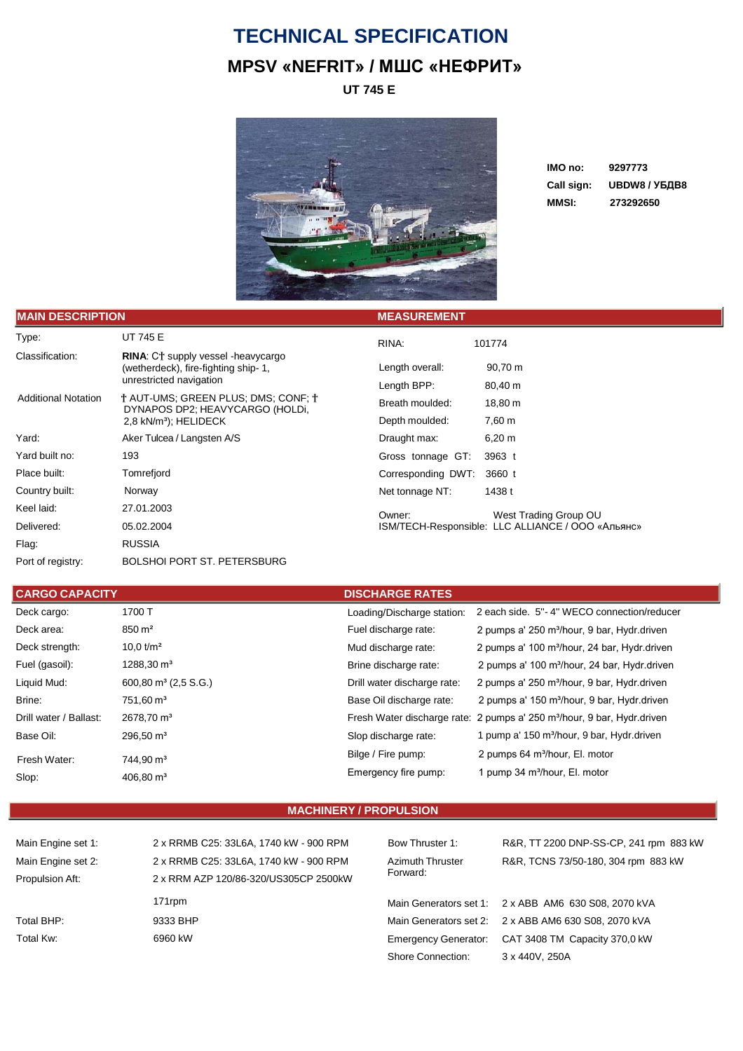## **TECHNICAL SPECIFICATION MPSV «NEFRIT» / МШС «НЕФРИТ»**

**UT 745 E**



**IMO no: 9297773 Call sign: UBDW8 / УБДВ8 MMSI: 273292650**

| <b>IMAIN DESCRIPTION</b>   |                                                                                                             | <b>MEASUREMENT</b> |                                                   |
|----------------------------|-------------------------------------------------------------------------------------------------------------|--------------------|---------------------------------------------------|
| Type:                      | <b>UT 745 E</b>                                                                                             | RINA:              | 101774                                            |
| Classification:            | <b>RINA:</b> CT supply vessel -heavycargo<br>(wetherdeck), fire-fighting ship-1,<br>unrestricted navigation | Length overall:    | 90,70 m                                           |
|                            |                                                                                                             | Length BPP:        | 80,40 m                                           |
| <b>Additional Notation</b> | t AUT-UMS: GREEN PLUS: DMS: CONF: t<br>DYNAPOS DP2; HEAVYCARGO (HOLDI,<br>2,8 kN/m <sup>3</sup> ); HELIDECK | Breath moulded:    | 18,80 m                                           |
|                            |                                                                                                             | Depth moulded:     | 7,60 m                                            |
| Yard:                      | Aker Tulcea / Langsten A/S                                                                                  | Draught max:       | $6,20 \; m$                                       |
| Yard built no:             | 193                                                                                                         | Gross tonnage GT:  | 3963 t                                            |
| Place built:               | Tomrefjord                                                                                                  | Corresponding DWT: | 3660 t                                            |
| Country built:             | Norway                                                                                                      | Net tonnage NT:    | 1438 t                                            |
| Keel laid:                 | 27.01.2003                                                                                                  | Owner:             | West Trading Group OU                             |
| Delivered:                 | 05.02.2004                                                                                                  |                    | ISM/TECH-Responsible: LLC ALLIANCE / ООО «Альянс» |
| Flag:                      | <b>RUSSIA</b>                                                                                               |                    |                                                   |
| Port of registry:          | <b>BOLSHOI PORT ST. PETERSBURG</b>                                                                          |                    |                                                   |

| <b>CARGO CAPACITY</b>  |                                  | <b>DISCHARGE RATES</b>      |                                                                                     |  |
|------------------------|----------------------------------|-----------------------------|-------------------------------------------------------------------------------------|--|
| Deck cargo:            | 1700 T                           | Loading/Discharge station:  | 2 each side. 5"-4" WECO connection/reducer                                          |  |
| Deck area:             | $850 \text{ m}^2$                | Fuel discharge rate:        | 2 pumps a' 250 m <sup>3</sup> /hour, 9 bar, Hydr.driven                             |  |
| Deck strength:         | 10.0 $t/m^2$                     | Mud discharge rate:         | 2 pumps a' 100 m <sup>3</sup> /hour, 24 bar, Hydr.driven                            |  |
| Fuel (gasoil):         | $1288,30 \text{ m}^3$            | Brine discharge rate:       | 2 pumps a' 100 m <sup>3</sup> /hour, 24 bar, Hydr.driven                            |  |
| Liquid Mud:            | 600,80 m <sup>3</sup> (2,5 S.G.) | Drill water discharge rate: | 2 pumps a' 250 m <sup>3</sup> /hour, 9 bar, Hydr.driven                             |  |
| Brine:                 | $751.60 \,\mathrm{m}^3$          | Base Oil discharge rate:    | 2 pumps a' 150 m <sup>3</sup> /hour, 9 bar, Hydr.driven                             |  |
| Drill water / Ballast: | $2678,70 \text{ m}^3$            |                             | Fresh Water discharge rate: 2 pumps a' 250 m <sup>3</sup> /hour, 9 bar, Hydr.driven |  |
| Base Oil:              | $296.50 \text{ m}^3$             | Slop discharge rate:        | 1 pump a' 150 m <sup>3</sup> /hour, 9 bar, Hydr.driven                              |  |
| Fresh Water:           | 744.90 m <sup>3</sup>            | Bilge / Fire pump:          | 2 pumps 64 m <sup>3</sup> /hour, El. motor                                          |  |
| Slop:                  | $406,80 \text{ m}^3$             | Emergency fire pump:        | 1 pump 34 m <sup>3</sup> /hour, El. motor                                           |  |

## **MACHINERY / PROPULSION**

| $m$ an Lugno over. |
|--------------------|
| Main Engine set 2: |
| Propulsion Aft:    |
|                    |
| Total BHP:         |

2 x RRMB C25: 33L6A, 1740 kW - 900 RPM 2 x RRM AZP 120/86-320/US305CP 2500kW 171rpm 9333 BHP Total Kw: 6960 kW

Azimuth Thruster Forward:

Shore Connection: 3 x 440V, 250A

Main Engine set 1: 2 x RRMB C25: 33L6A, 1740 kW - 900 RPM Bow Thruster 1: R&R, TT 2200 DNP-SS-CP, 241 rpm 883 kW R&R, TCNS 73/50-180, 304 rpm 883 kW

> Main Generators set 1: 2 x ABB AM6 630 S08, 2070 kVA Main Generators set 2: 2 x ABB AM6 630 S08, 2070 kVA Emergency Generator: CAT 3408 TM Capacity 370,0 kW